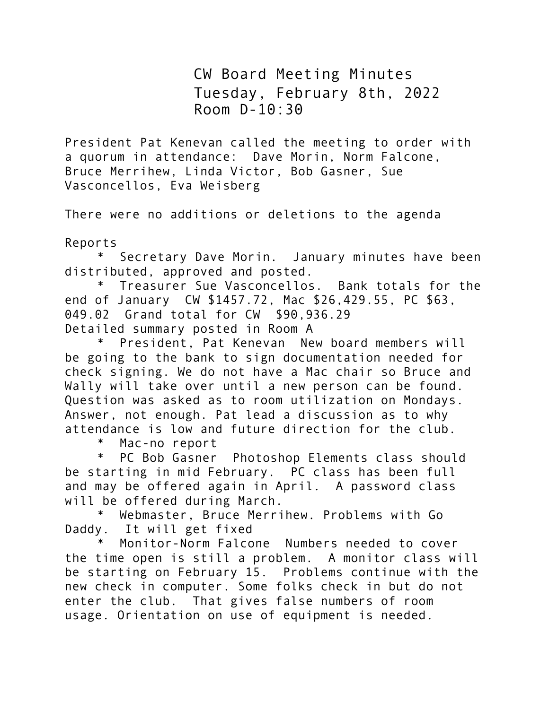CW Board Meeting Minutes Tuesday, February 8th, 2022 Room D-10:30

President Pat Kenevan called the meeting to order with a quorum in attendance: Dave Morin, Norm Falcone, Bruce Merrihew, Linda Victor, Bob Gasner, Sue Vasconcellos, Eva Weisberg

There were no additions or deletions to the agenda

Reports

 \* Secretary Dave Morin. January minutes have been distributed, approved and posted.

Treasurer Sue Vasconcellos. Bank totals for the end of January CW \$1457.72, Mac \$26,429.55, PC \$63, 049.02 Grand total for CW \$90,936.29 Detailed summary posted in Room A

 \* President, Pat Kenevan New board members will be going to the bank to sign documentation needed for check signing. We do not have a Mac chair so Bruce and Wally will take over until a new person can be found. Question was asked as to room utilization on Mondays. Answer, not enough. Pat lead a discussion as to why attendance is low and future direction for the club.

Mac-no report

 \* PC Bob Gasner Photoshop Elements class should be starting in mid February. PC class has been full and may be offered again in April. A password class will be offered during March.

 \* Webmaster, Bruce Merrihew. Problems with Go Daddy. It will get fixed

Monitor-Norm Falcone Numbers needed to cover the time open is still a problem. A monitor class will be starting on February 15. Problems continue with the new check in computer. Some folks check in but do not enter the club. That gives false numbers of room usage. Orientation on use of equipment is needed.